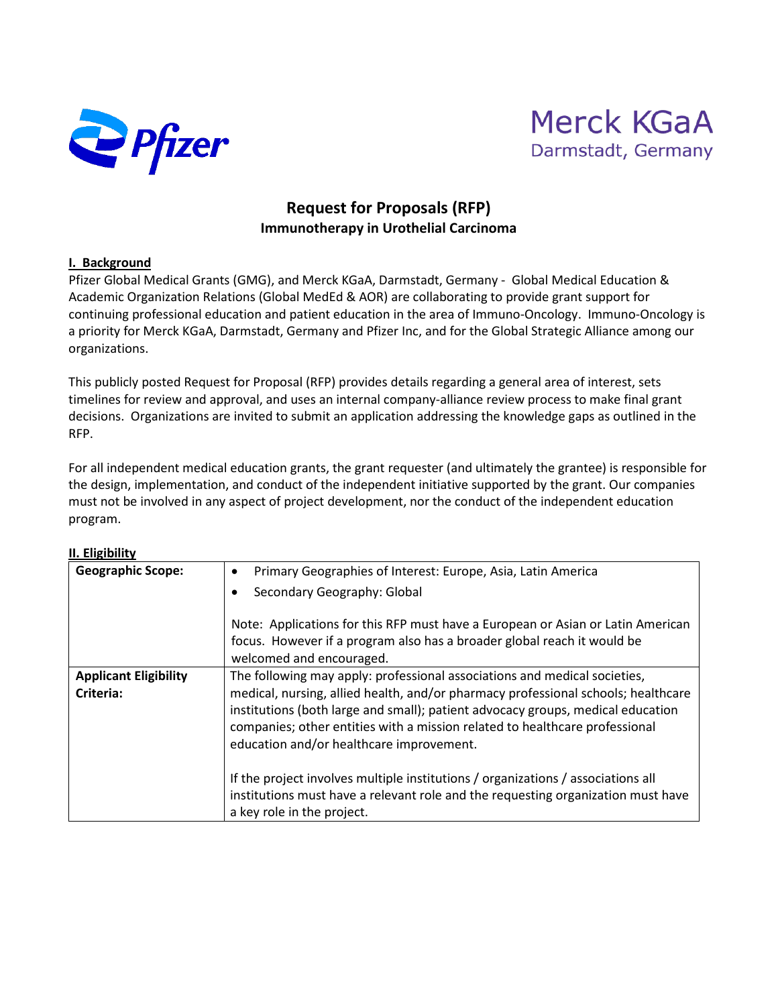



## **Request for Proposals (RFP) Immunotherapy in Urothelial Carcinoma**

#### **I. Background**

Pfizer Global Medical Grants (GMG), and Merck KGaA, Darmstadt, Germany - Global Medical Education & Academic Organization Relations (Global MedEd & AOR) are collaborating to provide grant support for continuing professional education and patient education in the area of Immuno-Oncology. Immuno-Oncology is a priority for Merck KGaA, Darmstadt, Germany and Pfizer Inc, and for the Global Strategic Alliance among our organizations.

This publicly posted Request for Proposal (RFP) provides details regarding a general area of interest, sets timelines for review and approval, and uses an internal company-alliance review process to make final grant decisions. Organizations are invited to submit an application addressing the knowledge gaps as outlined in the RFP.

For all independent medical education grants, the grant requester (and ultimately the grantee) is responsible for the design, implementation, and conduct of the independent initiative supported by the grant. Our companies must not be involved in any aspect of project development, nor the conduct of the independent education program.

| <b>Geographic Scope:</b>                  | Primary Geographies of Interest: Europe, Asia, Latin America<br>٠                                                                                                                                                                                                                                                                                                            |
|-------------------------------------------|------------------------------------------------------------------------------------------------------------------------------------------------------------------------------------------------------------------------------------------------------------------------------------------------------------------------------------------------------------------------------|
|                                           | Secondary Geography: Global<br>٠                                                                                                                                                                                                                                                                                                                                             |
|                                           | Note: Applications for this RFP must have a European or Asian or Latin American<br>focus. However if a program also has a broader global reach it would be<br>welcomed and encouraged.                                                                                                                                                                                       |
| <b>Applicant Eligibility</b><br>Criteria: | The following may apply: professional associations and medical societies,<br>medical, nursing, allied health, and/or pharmacy professional schools; healthcare<br>institutions (both large and small); patient advocacy groups, medical education<br>companies; other entities with a mission related to healthcare professional<br>education and/or healthcare improvement. |
|                                           | If the project involves multiple institutions / organizations / associations all<br>institutions must have a relevant role and the requesting organization must have<br>a key role in the project.                                                                                                                                                                           |

#### **II. Eligibility**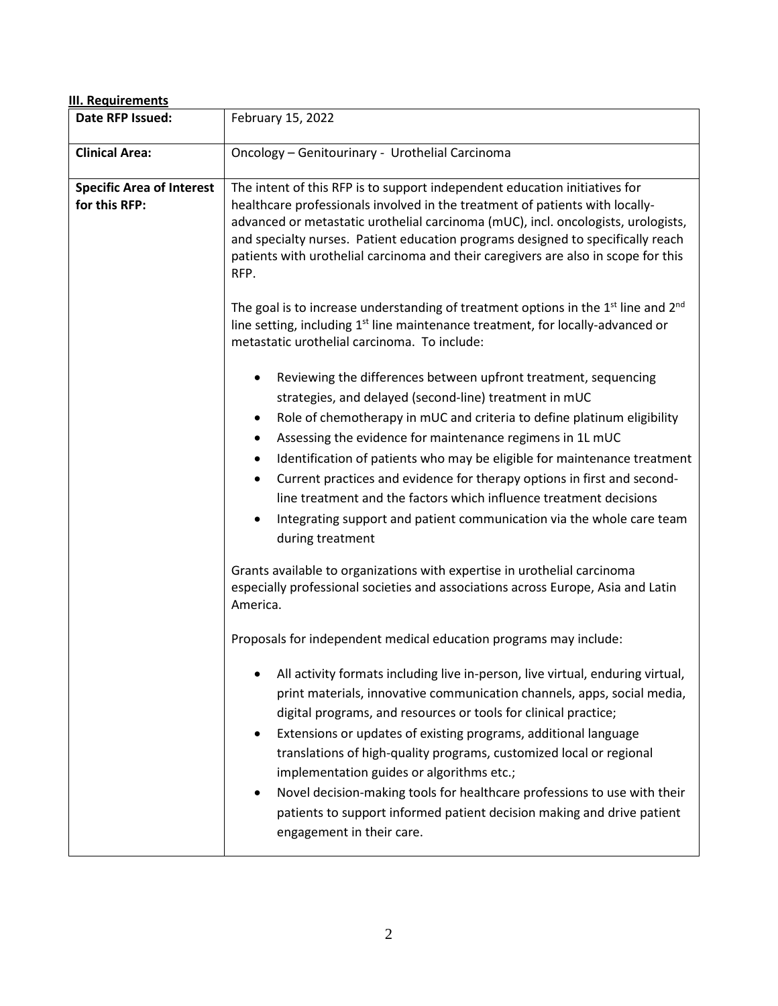| III. Requirements                                 |                                                                                                                                                                                                                                                                                                                                                                                                                                                                                                                                                                                                                                                                                                                                                                                                                                                                           |  |
|---------------------------------------------------|---------------------------------------------------------------------------------------------------------------------------------------------------------------------------------------------------------------------------------------------------------------------------------------------------------------------------------------------------------------------------------------------------------------------------------------------------------------------------------------------------------------------------------------------------------------------------------------------------------------------------------------------------------------------------------------------------------------------------------------------------------------------------------------------------------------------------------------------------------------------------|--|
| Date RFP Issued:                                  | February 15, 2022                                                                                                                                                                                                                                                                                                                                                                                                                                                                                                                                                                                                                                                                                                                                                                                                                                                         |  |
| <b>Clinical Area:</b>                             | Oncology - Genitourinary - Urothelial Carcinoma                                                                                                                                                                                                                                                                                                                                                                                                                                                                                                                                                                                                                                                                                                                                                                                                                           |  |
| <b>Specific Area of Interest</b><br>for this RFP: | The intent of this RFP is to support independent education initiatives for<br>healthcare professionals involved in the treatment of patients with locally-<br>advanced or metastatic urothelial carcinoma (mUC), incl. oncologists, urologists,<br>and specialty nurses. Patient education programs designed to specifically reach<br>patients with urothelial carcinoma and their caregivers are also in scope for this<br>RFP.<br>The goal is to increase understanding of treatment options in the 1 <sup>st</sup> line and 2 <sup>nd</sup><br>line setting, including $1st$ line maintenance treatment, for locally-advanced or                                                                                                                                                                                                                                       |  |
|                                                   | metastatic urothelial carcinoma. To include:<br>Reviewing the differences between upfront treatment, sequencing<br>$\bullet$<br>strategies, and delayed (second-line) treatment in mUC<br>Role of chemotherapy in mUC and criteria to define platinum eligibility<br>٠<br>Assessing the evidence for maintenance regimens in 1L mUC<br>$\bullet$<br>Identification of patients who may be eligible for maintenance treatment<br>$\bullet$<br>Current practices and evidence for therapy options in first and second-<br>$\bullet$<br>line treatment and the factors which influence treatment decisions<br>Integrating support and patient communication via the whole care team<br>٠<br>during treatment<br>Grants available to organizations with expertise in urothelial carcinoma<br>especially professional societies and associations across Europe, Asia and Latin |  |
|                                                   | America.<br>Proposals for independent medical education programs may include:<br>All activity formats including live in-person, live virtual, enduring virtual,<br>print materials, innovative communication channels, apps, social media,<br>digital programs, and resources or tools for clinical practice;<br>Extensions or updates of existing programs, additional language<br>$\bullet$<br>translations of high-quality programs, customized local or regional<br>implementation guides or algorithms etc.;<br>Novel decision-making tools for healthcare professions to use with their<br>patients to support informed patient decision making and drive patient<br>engagement in their care.                                                                                                                                                                      |  |

# 2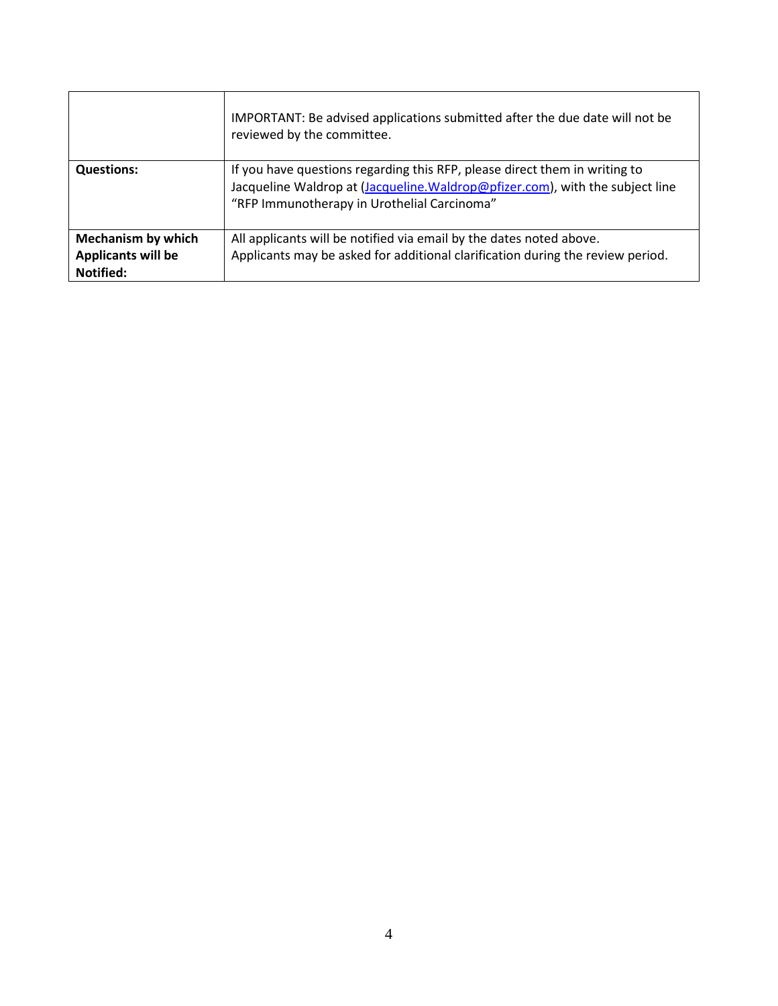|                                                                     | IMPORTANT: Be advised applications submitted after the due date will not be<br>reviewed by the committee.                                                                                                  |
|---------------------------------------------------------------------|------------------------------------------------------------------------------------------------------------------------------------------------------------------------------------------------------------|
| <b>Questions:</b>                                                   | If you have questions regarding this RFP, please direct them in writing to<br>Jacqueline Waldrop at (Jacqueline. Waldrop@pfizer.com), with the subject line<br>"RFP Immunotherapy in Urothelial Carcinoma" |
| <b>Mechanism by which</b><br><b>Applicants will be</b><br>Notified: | All applicants will be notified via email by the dates noted above.<br>Applicants may be asked for additional clarification during the review period.                                                      |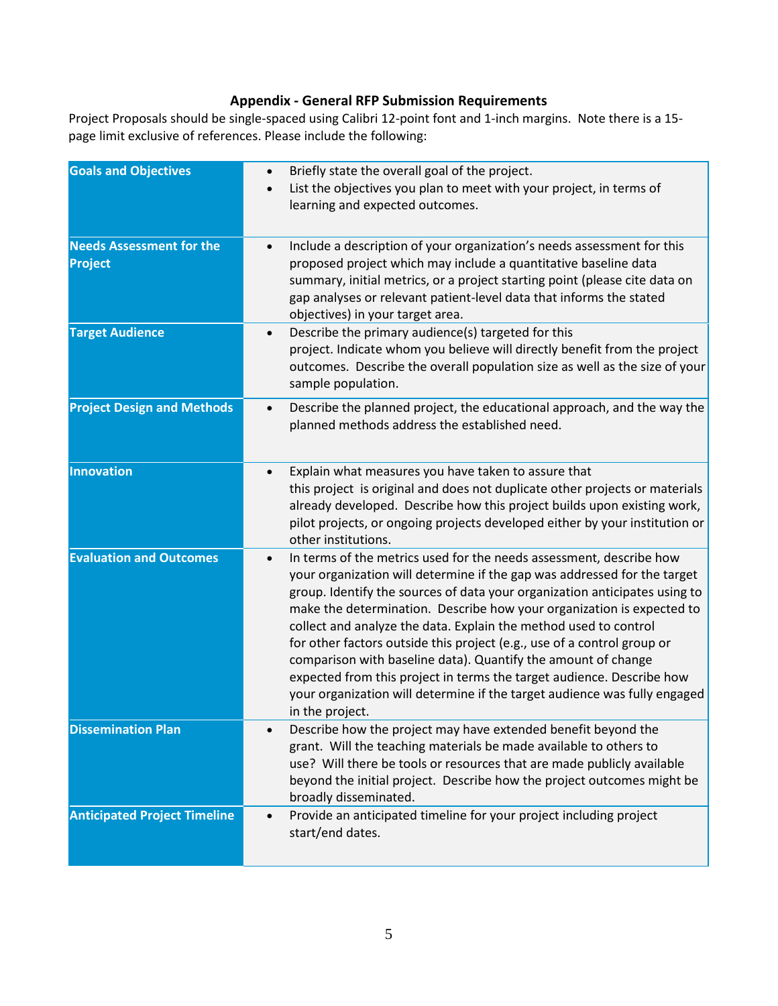### **Appendix - General RFP Submission Requirements**

Project Proposals should be single-spaced using Calibri 12-point font and 1-inch margins. Note there is a 15 page limit exclusive of references. Please include the following:

| <b>Goals and Objectives</b>                | Briefly state the overall goal of the project.<br>$\bullet$<br>List the objectives you plan to meet with your project, in terms of<br>$\bullet$<br>learning and expected outcomes.                                                                                                                                                                                                                                                                                                                                                                                                                                                                                                                           |
|--------------------------------------------|--------------------------------------------------------------------------------------------------------------------------------------------------------------------------------------------------------------------------------------------------------------------------------------------------------------------------------------------------------------------------------------------------------------------------------------------------------------------------------------------------------------------------------------------------------------------------------------------------------------------------------------------------------------------------------------------------------------|
| <b>Needs Assessment for the</b><br>Project | Include a description of your organization's needs assessment for this<br>$\bullet$<br>proposed project which may include a quantitative baseline data<br>summary, initial metrics, or a project starting point (please cite data on<br>gap analyses or relevant patient-level data that informs the stated<br>objectives) in your target area.                                                                                                                                                                                                                                                                                                                                                              |
| <b>Target Audience</b>                     | Describe the primary audience(s) targeted for this<br>$\bullet$<br>project. Indicate whom you believe will directly benefit from the project<br>outcomes. Describe the overall population size as well as the size of your<br>sample population.                                                                                                                                                                                                                                                                                                                                                                                                                                                             |
| <b>Project Design and Methods</b>          | Describe the planned project, the educational approach, and the way the<br>$\bullet$<br>planned methods address the established need.                                                                                                                                                                                                                                                                                                                                                                                                                                                                                                                                                                        |
| <b>Innovation</b>                          | Explain what measures you have taken to assure that<br>$\bullet$<br>this project is original and does not duplicate other projects or materials<br>already developed. Describe how this project builds upon existing work,<br>pilot projects, or ongoing projects developed either by your institution or<br>other institutions.                                                                                                                                                                                                                                                                                                                                                                             |
| <b>Evaluation and Outcomes</b>             | In terms of the metrics used for the needs assessment, describe how<br>$\bullet$<br>your organization will determine if the gap was addressed for the target<br>group. Identify the sources of data your organization anticipates using to<br>make the determination. Describe how your organization is expected to<br>collect and analyze the data. Explain the method used to control<br>for other factors outside this project (e.g., use of a control group or<br>comparison with baseline data). Quantify the amount of change<br>expected from this project in terms the target audience. Describe how<br>your organization will determine if the target audience was fully engaged<br>in the project. |
| <b>Dissemination Plan</b>                  | Describe how the project may have extended benefit beyond the<br>grant. Will the teaching materials be made available to others to<br>use? Will there be tools or resources that are made publicly available<br>beyond the initial project. Describe how the project outcomes might be<br>broadly disseminated.                                                                                                                                                                                                                                                                                                                                                                                              |
| <b>Anticipated Project Timeline</b>        | Provide an anticipated timeline for your project including project<br>$\bullet$<br>start/end dates.                                                                                                                                                                                                                                                                                                                                                                                                                                                                                                                                                                                                          |